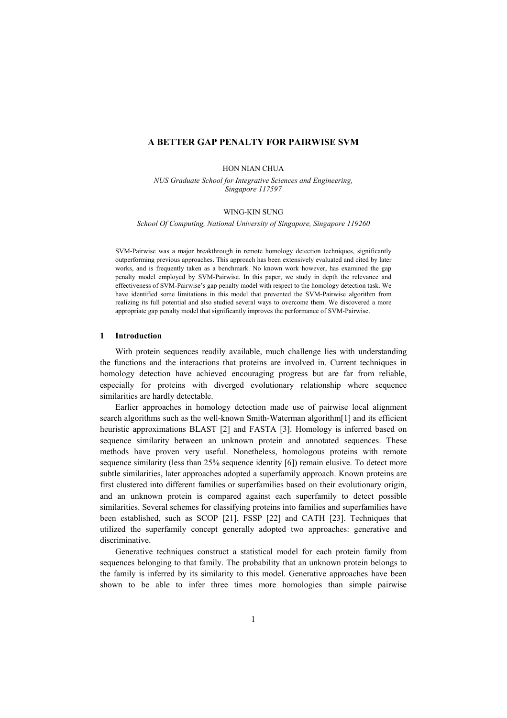# **A BETTER GAP PENALTY FOR PAIRWISE SVM**

#### HON NIAN CHUA

*NUS Graduate School for Integrative Sciences and Engineering, Singapore 117597*

## WING-KIN SUNG

*School Of Computing, National University of Singapore, Singapore 119260* 

SVM-Pairwise was a major breakthrough in remote homology detection techniques, significantly outperforming previous approaches. This approach has been extensively evaluated and cited by later works, and is frequently taken as a benchmark. No known work however, has examined the gap penalty model employed by SVM-Pairwise. In this paper, we study in depth the relevance and effectiveness of SVM-Pairwise's gap penalty model with respect to the homology detection task. We have identified some limitations in this model that prevented the SVM-Pairwise algorithm from realizing its full potential and also studied several ways to overcome them. We discovered a more appropriate gap penalty model that significantly improves the performance of SVM-Pairwise.

## **1 Introduction**

With protein sequences readily available, much challenge lies with understanding the functions and the interactions that proteins are involved in. Current techniques in homology detection have achieved encouraging progress but are far from reliable, especially for proteins with diverged evolutionary relationship where sequence similarities are hardly detectable.

Earlier approaches in homology detection made use of pairwise local alignment search algorithms such as the well-known Smith-Waterman algorithm[1] and its efficient heuristic approximations BLAST [2] and FASTA [3]. Homology is inferred based on sequence similarity between an unknown protein and annotated sequences. These methods have proven very useful. Nonetheless, homologous proteins with remote sequence similarity (less than 25% sequence identity [6]) remain elusive. To detect more subtle similarities, later approaches adopted a superfamily approach. Known proteins are first clustered into different families or superfamilies based on their evolutionary origin, and an unknown protein is compared against each superfamily to detect possible similarities. Several schemes for classifying proteins into families and superfamilies have been established, such as SCOP [21], FSSP [22] and CATH [23]. Techniques that utilized the superfamily concept generally adopted two approaches: generative and discriminative.

Generative techniques construct a statistical model for each protein family from sequences belonging to that family. The probability that an unknown protein belongs to the family is inferred by its similarity to this model. Generative approaches have been shown to be able to infer three times more homologies than simple pairwise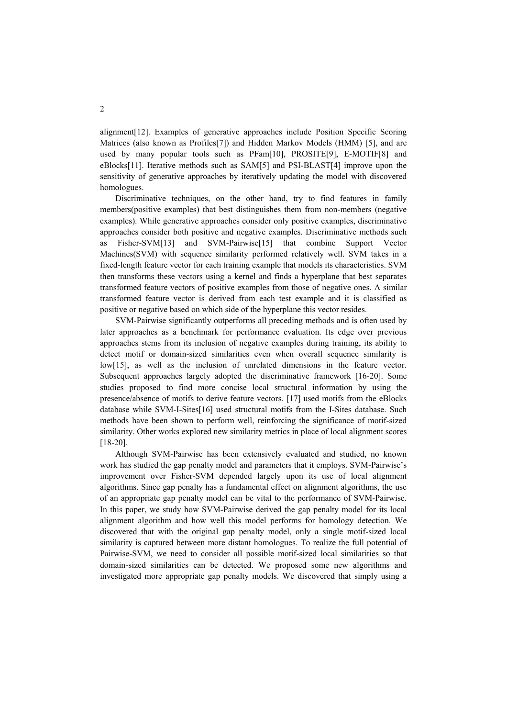alignment[12]. Examples of generative approaches include Position Specific Scoring Matrices (also known as Profiles[7]) and Hidden Markov Models (HMM) [5], and are used by many popular tools such as PFam[10], PROSITE[9], E-MOTIF[8] and eBlocks[11]. Iterative methods such as SAM[5] and PSI-BLAST[4] improve upon the sensitivity of generative approaches by iteratively updating the model with discovered homologues.

Discriminative techniques, on the other hand, try to find features in family members(positive examples) that best distinguishes them from non-members (negative examples). While generative approaches consider only positive examples, discriminative approaches consider both positive and negative examples. Discriminative methods such as Fisher-SVM[13] and SVM-Pairwise[15] that combine Support Vector Machines(SVM) with sequence similarity performed relatively well. SVM takes in a fixed-length feature vector for each training example that models its characteristics. SVM then transforms these vectors using a kernel and finds a hyperplane that best separates transformed feature vectors of positive examples from those of negative ones. A similar transformed feature vector is derived from each test example and it is classified as positive or negative based on which side of the hyperplane this vector resides.

SVM-Pairwise significantly outperforms all preceding methods and is often used by later approaches as a benchmark for performance evaluation. Its edge over previous approaches stems from its inclusion of negative examples during training, its ability to detect motif or domain-sized similarities even when overall sequence similarity is low[15], as well as the inclusion of unrelated dimensions in the feature vector. Subsequent approaches largely adopted the discriminative framework [16-20]. Some studies proposed to find more concise local structural information by using the presence/absence of motifs to derive feature vectors. [17] used motifs from the eBlocks database while SVM-I-Sites[16] used structural motifs from the I-Sites database. Such methods have been shown to perform well, reinforcing the significance of motif-sized similarity. Other works explored new similarity metrics in place of local alignment scores [18-20].

Although SVM-Pairwise has been extensively evaluated and studied, no known work has studied the gap penalty model and parameters that it employs. SVM-Pairwise's improvement over Fisher-SVM depended largely upon its use of local alignment algorithms. Since gap penalty has a fundamental effect on alignment algorithms, the use of an appropriate gap penalty model can be vital to the performance of SVM-Pairwise. In this paper, we study how SVM-Pairwise derived the gap penalty model for its local alignment algorithm and how well this model performs for homology detection. We discovered that with the original gap penalty model, only a single motif-sized local similarity is captured between more distant homologues. To realize the full potential of Pairwise-SVM, we need to consider all possible motif-sized local similarities so that domain-sized similarities can be detected. We proposed some new algorithms and investigated more appropriate gap penalty models. We discovered that simply using a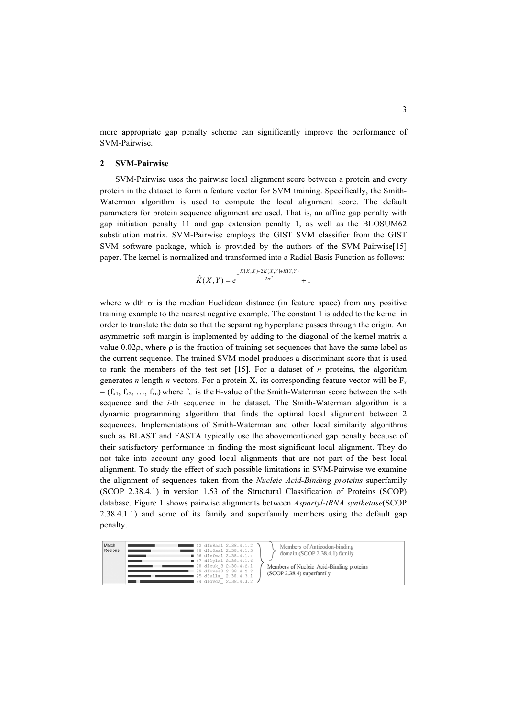more appropriate gap penalty scheme can significantly improve the performance of SVM-Pairwise.

# **2 SVM-Pairwise**

SVM-Pairwise uses the pairwise local alignment score between a protein and every protein in the dataset to form a feature vector for SVM training. Specifically, the Smith-Waterman algorithm is used to compute the local alignment score. The default parameters for protein sequence alignment are used. That is, an affine gap penalty with gap initiation penalty 11 and gap extension penalty 1, as well as the BLOSUM62 substitution matrix. SVM-Pairwise employs the GIST SVM classifier from the GIST SVM software package, which is provided by the authors of the SVM-Pairwise[15] paper. The kernel is normalized and transformed into a Radial Basis Function as follows:

$$
\hat{K}(X,Y) = e^{-\frac{K(X,X) - 2K(X,Y) + K(Y,Y)}{2\sigma^2}} + 1
$$

where width  $\sigma$  is the median Euclidean distance (in feature space) from any positive training example to the nearest negative example. The constant 1 is added to the kernel in order to translate the data so that the separating hyperplane passes through the origin. An asymmetric soft margin is implemented by adding to the diagonal of the kernel matrix a value 0.02ρ, where ρ is the fraction of training set sequences that have the same label as the current sequence. The trained SVM model produces a discriminant score that is used to rank the members of the test set [15]. For a dataset of *n* proteins, the algorithm generates *n* length-*n* vectors. For a protein X, its corresponding feature vector will be  $F_x$  $= (f_{x1}, f_{x2}, ..., f_{xn})$  where  $f_{x1}$  is the E-value of the Smith-Waterman score between the x-th sequence and the *i-*th sequence in the dataset. The Smith-Waterman algorithm is a dynamic programming algorithm that finds the optimal local alignment between 2 sequences. Implementations of Smith-Waterman and other local similarity algorithms such as BLAST and FASTA typically use the abovementioned gap penalty because of their satisfactory performance in finding the most significant local alignment. They do not take into account any good local alignments that are not part of the best local alignment. To study the effect of such possible limitations in SVM-Pairwise we examine the alignment of sequences taken from the *Nucleic Acid-Binding proteins* superfamily (SCOP 2.38.4.1) in version 1.53 of the Structural Classification of Proteins (SCOP) database. Figure 1 shows pairwise alignments between *Aspartyl-tRNA synthetase*(SCOP 2.38.4.1.1) and some of its family and superfamily members using the default gap penalty.

| Match<br>Regions | 42 dlb8aa1 2.38.4.1.2<br>48 dlc0aa1 2.38.4.1.3<br>_<br>■ 56 dlefwal 2.38.4.1.4<br>■ 47 dllyla1 2.38.4.1.6                             | Members of Anticodon-binding<br>domain (SCOP 2.38.4.1) family           |
|------------------|---------------------------------------------------------------------------------------------------------------------------------------|-------------------------------------------------------------------------|
|                  | 28 dlcuk 3 2.38.4.2.1<br>$29$ dlbvsa3 2.38.4.2.2<br>25 d3ulla 2.38.4.3.1<br>$\blacksquare$ 24 dlqvca 2.38.4.3.2 $\blacktriangleright$ | Members of Nucleic Acid-Binding proteins<br>$(SCOP 2.38.4)$ superfamily |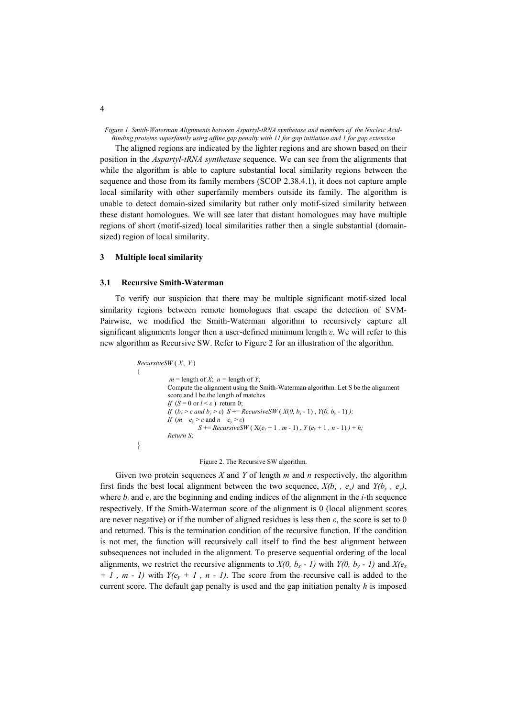*Figure 1. Smith-Waterman Alignments between Aspartyl-tRNA synthetase and members of the Nucleic Acid-Binding proteins superfamily using affine gap penalty with 11 for gap initiation and 1 for gap extension*

The aligned regions are indicated by the lighter regions and are shown based on their position in the *Aspartyl-tRNA synthetase* sequence. We can see from the alignments that while the algorithm is able to capture substantial local similarity regions between the sequence and those from its family members (SCOP 2.38.4.1), it does not capture ample local similarity with other superfamily members outside its family. The algorithm is unable to detect domain-sized similarity but rather only motif-sized similarity between these distant homologues. We will see later that distant homologues may have multiple regions of short (motif-sized) local similarities rather then a single substantial (domainsized) region of local similarity.

## **3 Multiple local similarity**

#### **3.1 Recursive Smith-Waterman**

To verify our suspicion that there may be multiple significant motif-sized local similarity regions between remote homologues that escape the detection of SVM-Pairwise, we modified the Smith-Waterman algorithm to recursively capture all significant alignments longer then a user-defined minimum length *ε*. We will refer to this new algorithm as Recursive SW. Refer to Figure 2 for an illustration of the algorithm.

```
RecursiveSW ( X , Y ) 
{ 
              m = length of X; n = length of Y;
             Compute the alignment using the Smith-Waterman algorithm. Let S be the alignment 
             score and l be the length of matches 
             If (S = 0 \text{ or } l < \varepsilon) return 0;
             If (b_x > \varepsilon and b_y > \varepsilon) S += RecursiveSW (X(0, b_x - 1), Y(0, b_y - 1);
             If (m - e_y > \varepsilon \text{ and } n - e_y > \varepsilon)S += RecursiveSW ( X(e_x + 1, m - 1) , Y(e_y + 1, n - 1) ) + h;
             Return S; 
}
```
## Figure 2. The Recursive SW algorithm.

Given two protein sequences *X* and *Y* of length *m* and *n* respectively, the algorithm first finds the best local alignment between the two sequence,  $X(b_x, e_y)$  and  $Y(b_y, e_y)$ , where  $b_i$  and  $e_i$  are the beginning and ending indices of the alignment in the *i*-th sequence respectively. If the Smith-Waterman score of the alignment is 0 (local alignment scores are never negative) or if the number of aligned residues is less then  $\varepsilon$ , the score is set to 0 and returned. This is the termination condition of the recursive function. If the condition is not met, the function will recursively call itself to find the best alignment between subsequences not included in the alignment. To preserve sequential ordering of the local alignments, we restrict the recursive alignments to  $X(0, b_x - 1)$  with  $Y(0, b_y - 1)$  and  $X(e_x)$ *+ 1, m - 1)* with  $Y(e_v + 1, n - 1)$ . The score from the recursive call is added to the current score. The default gap penalty is used and the gap initiation penalty *h* is imposed

4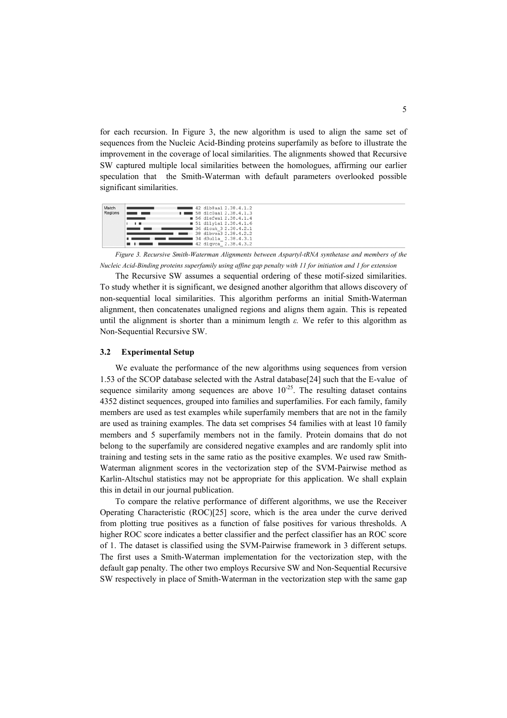for each recursion. In Figure 3, the new algorithm is used to align the same set of sequences from the Nucleic Acid-Binding proteins superfamily as before to illustrate the improvement in the coverage of local similarities. The alignments showed that Recursive SW captured multiple local similarities between the homologues, affirming our earlier speculation that the Smith-Waterman with default parameters overlooked possible significant similarities.

| . |  |                                                                                                                                                                                                                                                                                                                                                                                                                                                                                                                                                                                                                                  |
|---|--|----------------------------------------------------------------------------------------------------------------------------------------------------------------------------------------------------------------------------------------------------------------------------------------------------------------------------------------------------------------------------------------------------------------------------------------------------------------------------------------------------------------------------------------------------------------------------------------------------------------------------------|
|   |  |                                                                                                                                                                                                                                                                                                                                                                                                                                                                                                                                                                                                                                  |
|   |  |                                                                                                                                                                                                                                                                                                                                                                                                                                                                                                                                                                                                                                  |
|   |  |                                                                                                                                                                                                                                                                                                                                                                                                                                                                                                                                                                                                                                  |
|   |  |                                                                                                                                                                                                                                                                                                                                                                                                                                                                                                                                                                                                                                  |
|   |  | 42 dlb8aa1 2.38.4.1.2<br><b>1 2.38.4.1.3</b><br>■ 56 dlefwa1 2.38.4.1.4<br>■ 51 dllyla1 2.38.4.1.6<br>36 dlcuk 3 2.38.4.2.1<br>38 dlbvsa3 2.38.4.2.2<br><b>1 2.38.4.3.1</b> 2.38.4.3.1<br>$\blacksquare$   $\blacksquare$   $\blacksquare$   $\blacksquare$   $\blacksquare$   $\blacksquare$   $\blacksquare$   $\blacksquare$   $\blacksquare$   $\blacksquare$   $\blacksquare$   $\blacksquare$   $\blacksquare$   $\blacksquare$   $\blacksquare$   $\blacksquare$   $\blacksquare$   $\blacksquare$   $\blacksquare$   $\blacksquare$   $\blacksquare$   $\blacksquare$   $\blacksquare$   $\blacksquare$   $\blacksquare$ |

*Figure 3. Recursive Smith-Waterman Alignments between Aspartyl-tRNA synthetase and members of the Nucleic Acid-Binding proteins superfamily using affine gap penalty with 11 for initiation and 1 for extension*

The Recursive SW assumes a sequential ordering of these motif-sized similarities. To study whether it is significant, we designed another algorithm that allows discovery of non-sequential local similarities. This algorithm performs an initial Smith-Waterman alignment, then concatenates unaligned regions and aligns them again. This is repeated until the alignment is shorter than a minimum length *ε.* We refer to this algorithm as Non-Sequential Recursive SW.

# **3.2 Experimental Setup**

We evaluate the performance of the new algorithms using sequences from version 1.53 of the SCOP database selected with the Astral database[24] such that the E-value of sequence similarity among sequences are above  $10^{-25}$ . The resulting dataset contains 4352 distinct sequences, grouped into families and superfamilies. For each family, family members are used as test examples while superfamily members that are not in the family are used as training examples. The data set comprises 54 families with at least 10 family members and 5 superfamily members not in the family. Protein domains that do not belong to the superfamily are considered negative examples and are randomly split into training and testing sets in the same ratio as the positive examples. We used raw Smith-Waterman alignment scores in the vectorization step of the SVM-Pairwise method as Karlin-Altschul statistics may not be appropriate for this application. We shall explain this in detail in our journal publication.

To compare the relative performance of different algorithms, we use the Receiver Operating Characteristic (ROC)[25] score, which is the area under the curve derived from plotting true positives as a function of false positives for various thresholds. A higher ROC score indicates a better classifier and the perfect classifier has an ROC score of 1. The dataset is classified using the SVM-Pairwise framework in 3 different setups. The first uses a Smith-Waterman implementation for the vectorization step, with the default gap penalty. The other two employs Recursive SW and Non-Sequential Recursive SW respectively in place of Smith-Waterman in the vectorization step with the same gap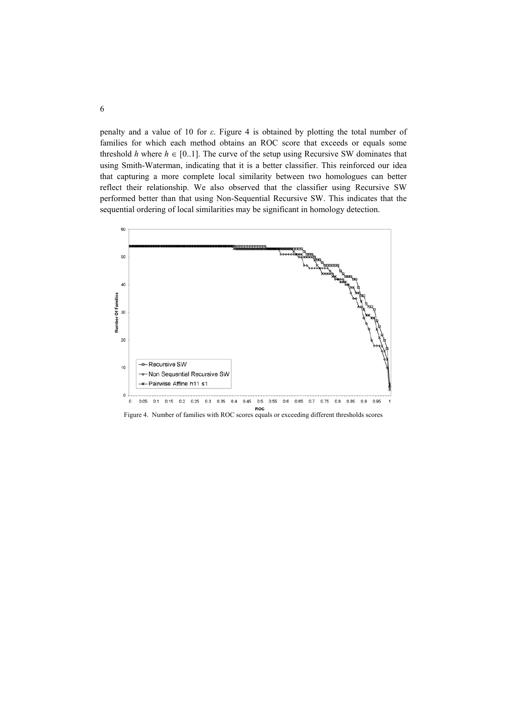penalty and a value of 10 for *ε*. Figure 4 is obtained by plotting the total number of families for which each method obtains an ROC score that exceeds or equals some threshold *h* where  $h \in [0..1]$ . The curve of the setup using Recursive SW dominates that using Smith-Waterman, indicating that it is a better classifier. This reinforced our idea that capturing a more complete local similarity between two homologues can better reflect their relationship. We also observed that the classifier using Recursive SW performed better than that using Non-Sequential Recursive SW. This indicates that the sequential ordering of local similarities may be significant in homology detection.



Figure 4. Number of families with ROC scores equals or exceeding different thresholds scores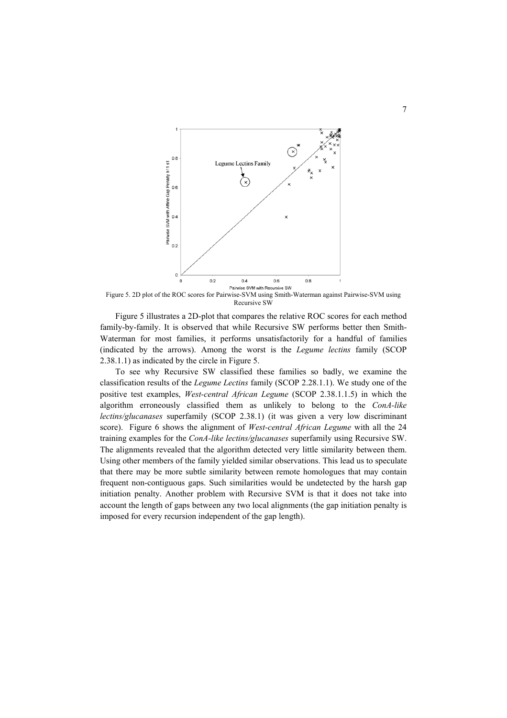

Figure 5. 2D plot of the ROC scores for Pairwise-SVM using Smith-Waterman against Pairwise-SVM using Recursive SW

Figure 5 illustrates a 2D-plot that compares the relative ROC scores for each method family-by-family. It is observed that while Recursive SW performs better then Smith-Waterman for most families, it performs unsatisfactorily for a handful of families (indicated by the arrows). Among the worst is the *Legume lectins* family (SCOP 2.38.1.1) as indicated by the circle in Figure 5.

To see why Recursive SW classified these families so badly, we examine the classification results of the *Legume Lectins* family (SCOP 2.28.1.1). We study one of the positive test examples, *West-central African Legume* (SCOP 2.38.1.1.5) in which the algorithm erroneously classified them as unlikely to belong to the *ConA-like lectins/glucanases* superfamily (SCOP 2.38.1) (it was given a very low discriminant score). Figure 6 shows the alignment of *West-central African Legume* with all the 24 training examples for the *ConA-like lectins/glucanases* superfamily using Recursive SW. The alignments revealed that the algorithm detected very little similarity between them. Using other members of the family yielded similar observations. This lead us to speculate that there may be more subtle similarity between remote homologues that may contain frequent non-contiguous gaps. Such similarities would be undetected by the harsh gap initiation penalty. Another problem with Recursive SVM is that it does not take into account the length of gaps between any two local alignments (the gap initiation penalty is imposed for every recursion independent of the gap length).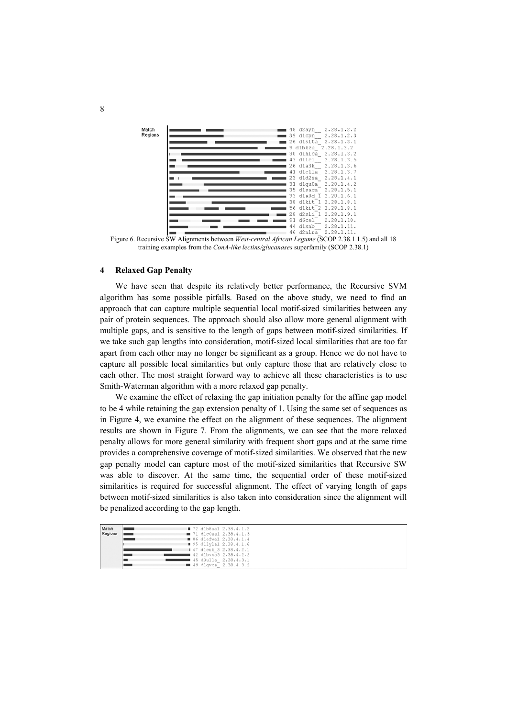

Figure 6. Recursive SW Alignments between *West-central African Legume* (SCOP 2.38.1.1.5) and all 18 training examples from the *ConA-like lectins/glucanases* superfamily (SCOP 2.38.1)

## **4 Relaxed Gap Penalty**

We have seen that despite its relatively better performance, the Recursive SVM algorithm has some possible pitfalls. Based on the above study, we need to find an approach that can capture multiple sequential local motif-sized similarities between any pair of protein sequences. The approach should also allow more general alignment with multiple gaps, and is sensitive to the length of gaps between motif-sized similarities. If we take such gap lengths into consideration, motif-sized local similarities that are too far apart from each other may no longer be significant as a group. Hence we do not have to capture all possible local similarities but only capture those that are relatively close to each other. The most straight forward way to achieve all these characteristics is to use Smith-Waterman algorithm with a more relaxed gap penalty.

We examine the effect of relaxing the gap initiation penalty for the affine gap model to be 4 while retaining the gap extension penalty of 1. Using the same set of sequences as in Figure 4, we examine the effect on the alignment of these sequences. The alignment results are shown in Figure 7. From the alignments, we can see that the more relaxed penalty allows for more general similarity with frequent short gaps and at the same time provides a comprehensive coverage of motif-sized similarities. We observed that the new gap penalty model can capture most of the motif-sized similarities that Recursive SW was able to discover. At the same time, the sequential order of these motif-sized similarities is required for successful alignment. The effect of varying length of gaps between motif-sized similarities is also taken into consideration since the alignment will be penalized according to the gap length.

| Match<br>Regions | ■ 72 d1b8aa1 2.38.4.1.2                           |  |
|------------------|---------------------------------------------------|--|
|                  | ■ 71 dlc0aa1 2.38.4.1.3<br>86 dlefwal 2.38.4.1.4  |  |
|                  | ■ 95 d1lyla1 2.38.4.1.6<br>147 dlcuk 3 2.38.4.2.1 |  |
|                  | 42 dlbvsa3 2.38.4.2.2                             |  |
|                  | 45 d3ulla 2.38.4.3.1<br>49 dlqvca 2.38.4.3.2      |  |

8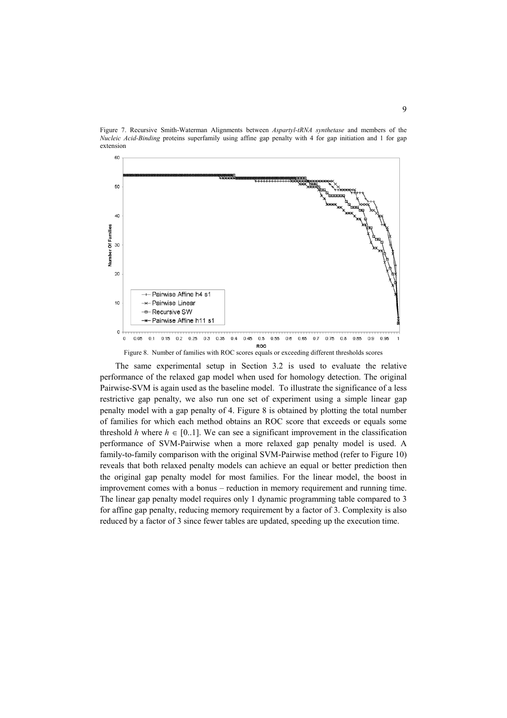extension 60 50

Figure 7. Recursive Smith-Waterman Alignments between *Aspartyl-tRNA synthetase* and members of the *Nucleic Acid-Binding* proteins superfamily using affine gap penalty with 4 for gap initiation and 1 for gap



Figure 8. Number of families with ROC scores equals or exceeding different thresholds scores

The same experimental setup in Section 3.2 is used to evaluate the relative performance of the relaxed gap model when used for homology detection. The original Pairwise-SVM is again used as the baseline model. To illustrate the significance of a less restrictive gap penalty, we also run one set of experiment using a simple linear gap penalty model with a gap penalty of 4. Figure 8 is obtained by plotting the total number of families for which each method obtains an ROC score that exceeds or equals some threshold *h* where  $h \in [0, 1]$ . We can see a significant improvement in the classification performance of SVM-Pairwise when a more relaxed gap penalty model is used. A family-to-family comparison with the original SVM-Pairwise method (refer to Figure 10) reveals that both relaxed penalty models can achieve an equal or better prediction then the original gap penalty model for most families. For the linear model, the boost in improvement comes with a bonus – reduction in memory requirement and running time. The linear gap penalty model requires only 1 dynamic programming table compared to 3 for affine gap penalty, reducing memory requirement by a factor of 3. Complexity is also reduced by a factor of 3 since fewer tables are updated, speeding up the execution time.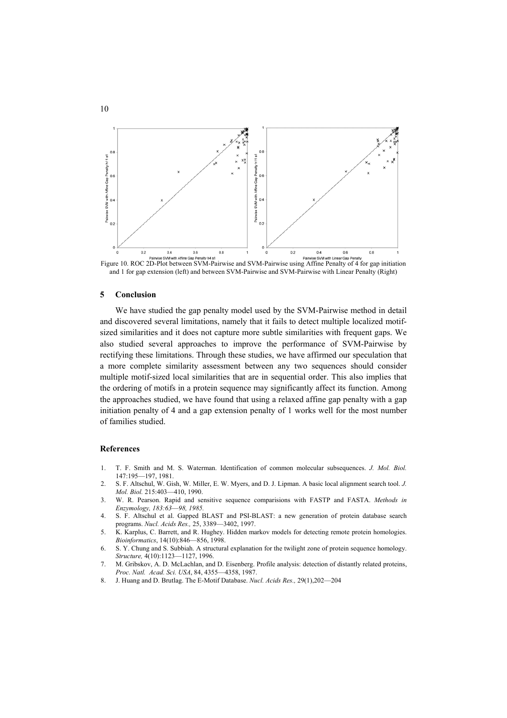

Figure 10. ROC 2D-Plot between SVM-Pairwise and SVM-Pairwise using Affine Penalty of 4 for gap initiation and 1 for gap extension (left) and between SVM-Pairwise and SVM-Pairwise with Linear Penalty (Right)

## **5 Conclusion**

We have studied the gap penalty model used by the SVM-Pairwise method in detail and discovered several limitations, namely that it fails to detect multiple localized motifsized similarities and it does not capture more subtle similarities with frequent gaps. We also studied several approaches to improve the performance of SVM-Pairwise by rectifying these limitations. Through these studies, we have affirmed our speculation that a more complete similarity assessment between any two sequences should consider multiple motif-sized local similarities that are in sequential order. This also implies that the ordering of motifs in a protein sequence may significantly affect its function. Among the approaches studied, we have found that using a relaxed affine gap penalty with a gap initiation penalty of 4 and a gap extension penalty of 1 works well for the most number of families studied.

#### **References**

- 1. T. F. Smith and M. S. Waterman. Identification of common molecular subsequences. *J. Mol. Biol.*  147:195—197, 1981.
- 2. S. F. Altschul, W. Gish, W. Miller, E. W. Myers, and D. J. Lipman. A basic local alignment search tool. *J. Mol. Biol.* 215:403—410, 1990.
- 3. W. R. Pearson. Rapid and sensitive sequence comparisions with FASTP and FASTA. *Methods in Enzymology, 183:63*—*98, 1985.*
- 4. S. F. Altschul et al. Gapped BLAST and PSI-BLAST: a new generation of protein database search programs. *Nucl. Acids Res.,* 25, 3389—3402, 1997.
- 5. K. Karplus, C. Barrett, and R. Hughey. Hidden markov models for detecting remote protein homologies. *Bioinformatics*, 14(10):846—856, 1998.
- 6. S. Y. Chung and S. Subbiah. A structural explanation for the twilight zone of protein sequence homology. *Structure,* 4(10):1123—1127, 1996.
- 7. M. Gribskov, A. D. McLachlan, and D. Eisenberg. Profile analysis: detection of distantly related proteins, *Proc. Natl. Acad. Sci. USA*, 84, 4355—4358, 1987.
- 8. J. Huang and D. Brutlag. The E-Motif Database. *Nucl. Acids Res.,* 29(1),202—204